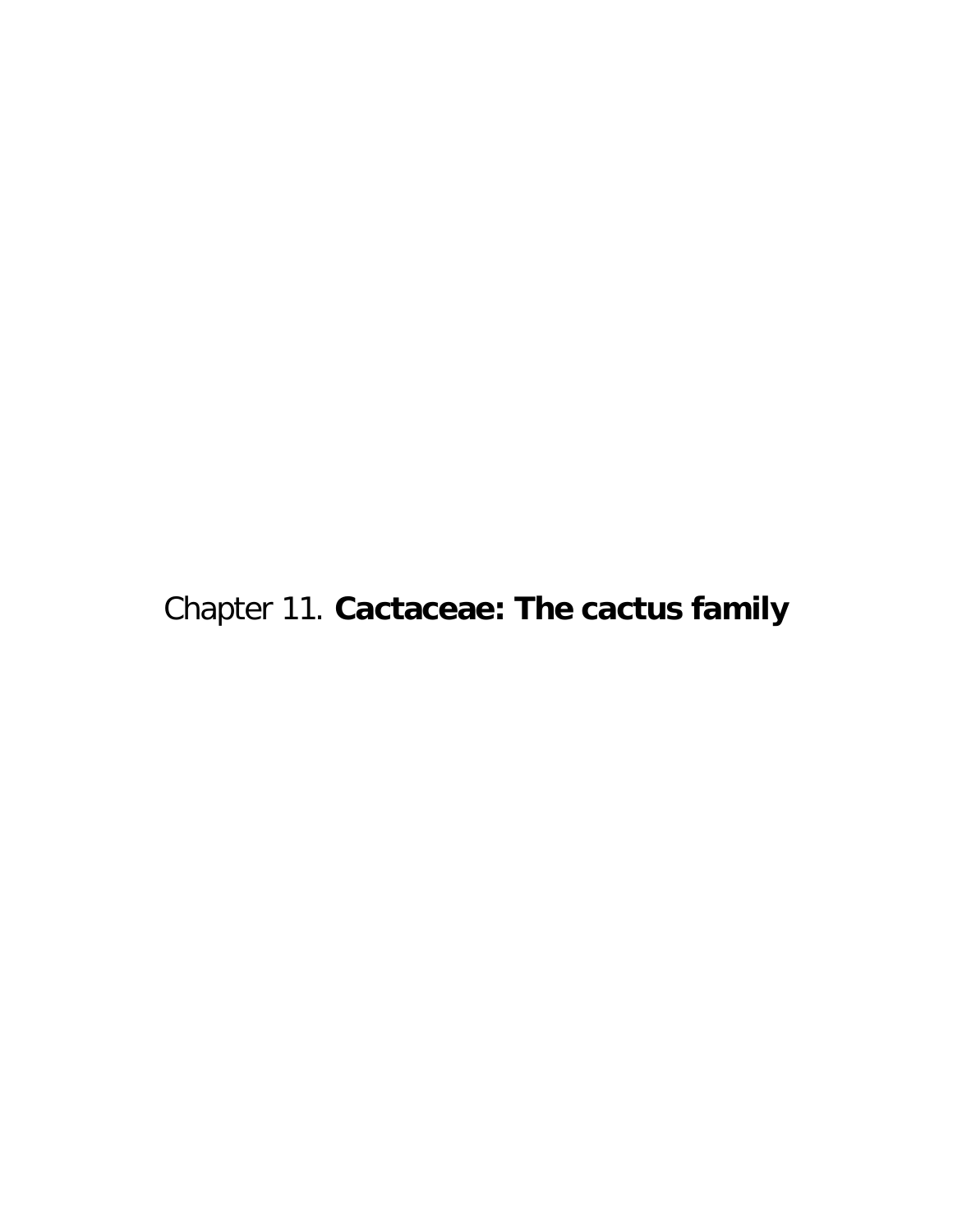Chapter 11. **Cactaceae: The cactus family**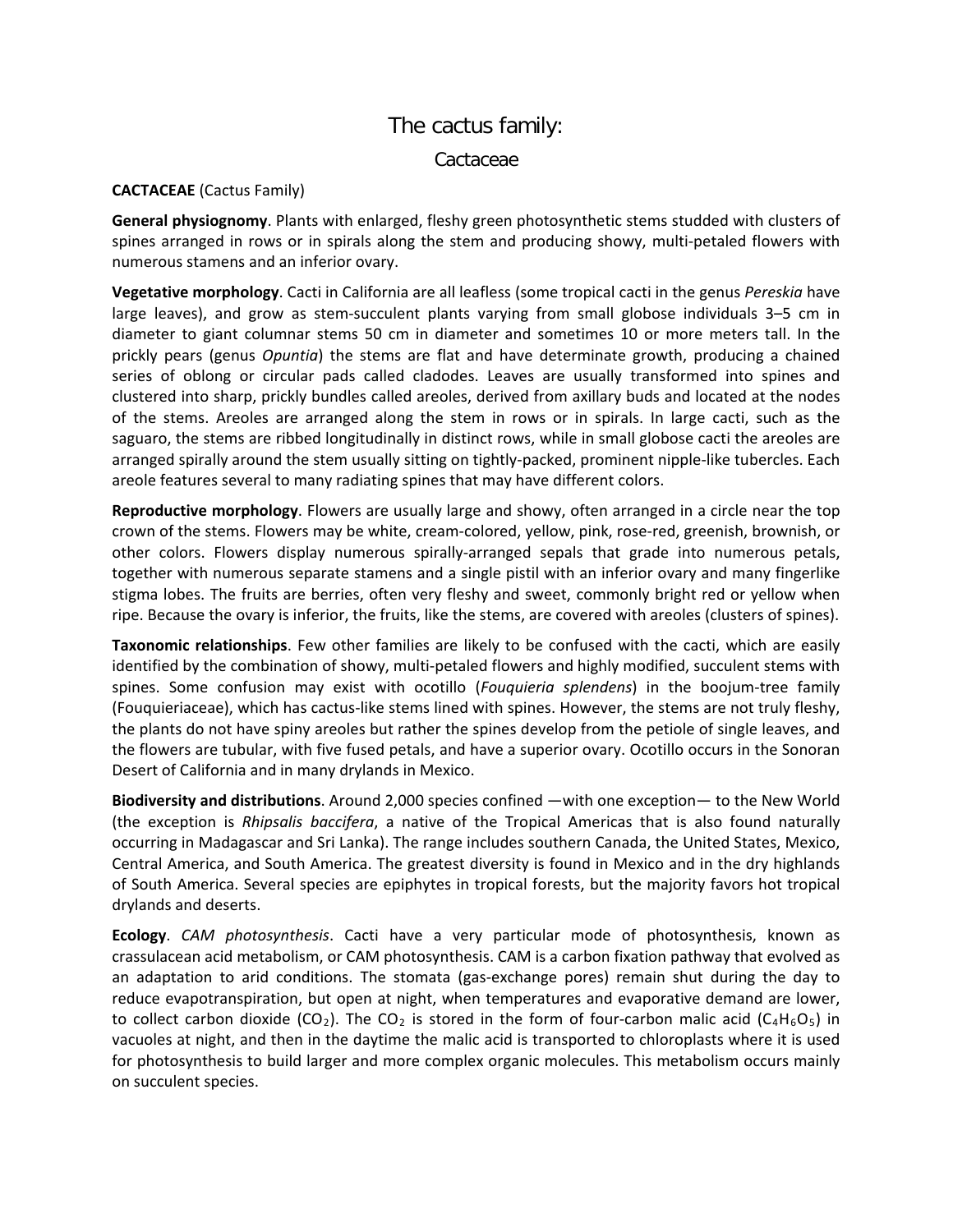## The cactus family:

Cactaceae

## **CACTACEAE** (Cactus Family)

**General physiognomy**. Plants with enlarged, fleshy green photosynthetic stems studded with clusters of spines arranged in rows or in spirals along the stem and producing showy, multi-petaled flowers with numerous stamens and an inferior ovary.

**Vegetative morphology**. Cacti in California are all leafless (some tropical cacti in the genus *Pereskia* have large leaves), and grow as stem-succulent plants varying from small globose individuals 3–5 cm in diameter to giant columnar stems 50 cm in diameter and sometimes 10 or more meters tall. In the prickly pears (genus *Opuntia*) the stems are flat and have determinate growth, producing a chained series of oblong or circular pads called cladodes. Leaves are usually transformed into spines and clustered into sharp, prickly bundles called areoles, derived from axillary buds and located at the nodes of the stems. Areoles are arranged along the stem in rows or in spirals. In large cacti, such as the saguaro, the stems are ribbed longitudinally in distinct rows, while in small globose cacti the areoles are arranged spirally around the stem usually sitting on tightly-packed, prominent nipple-like tubercles. Each areole features several to many radiating spines that may have different colors.

**Reproductive morphology**. Flowers are usually large and showy, often arranged in a circle near the top crown of the stems. Flowers may be white, cream-colored, yellow, pink, rose-red, greenish, brownish, or other colors. Flowers display numerous spirally-arranged sepals that grade into numerous petals, together with numerous separate stamens and a single pistil with an inferior ovary and many fingerlike stigma lobes. The fruits are berries, often very fleshy and sweet, commonly bright red or yellow when ripe. Because the ovary is inferior, the fruits, like the stems, are covered with areoles (clusters of spines).

**Taxonomic relationships**. Few other families are likely to be confused with the cacti, which are easily identified by the combination of showy, multi-petaled flowers and highly modified, succulent stems with spines. Some confusion may exist with ocotillo (*Fouquieria splendens*) in the boojum-tree family (Fouquieriaceae), which has cactus-like stems lined with spines. However, the stems are not truly fleshy, the plants do not have spiny areoles but rather the spines develop from the petiole of single leaves, and the flowers are tubular, with five fused petals, and have a superior ovary. Ocotillo occurs in the Sonoran Desert of California and in many drylands in Mexico.

**Biodiversity and distributions**. Around 2,000 species confined —with one exception— to the New World (the exception is *Rhipsalis baccifera*, a native of the Tropical Americas that is also found naturally occurring in Madagascar and Sri Lanka). The range includes southern Canada, the United States, Mexico, Central America, and South America. The greatest diversity is found in Mexico and in the dry highlands of South America. Several species are epiphytes in tropical forests, but the majority favors hot tropical drylands and deserts.

**Ecology**. *CAM photosynthesis*. Cacti have a very particular mode of photosynthesis, known as crassulacean acid metabolism, or CAM photosynthesis. CAM is a carbon fixation pathway that evolved as an adaptation to arid conditions. The stomata (gas-exchange pores) remain shut during the day to reduce evapotranspiration, but open at night, when temperatures and evaporative demand are lower, to collect carbon dioxide (CO<sub>2</sub>). The CO<sub>2</sub> is stored in the form of four-carbon malic acid (C<sub>4</sub>H<sub>6</sub>O<sub>5</sub>) in vacuoles at night, and then in the daytime the malic acid is transported to chloroplasts where it is used for photosynthesis to build larger and more complex organic molecules. This metabolism occurs mainly on succulent species.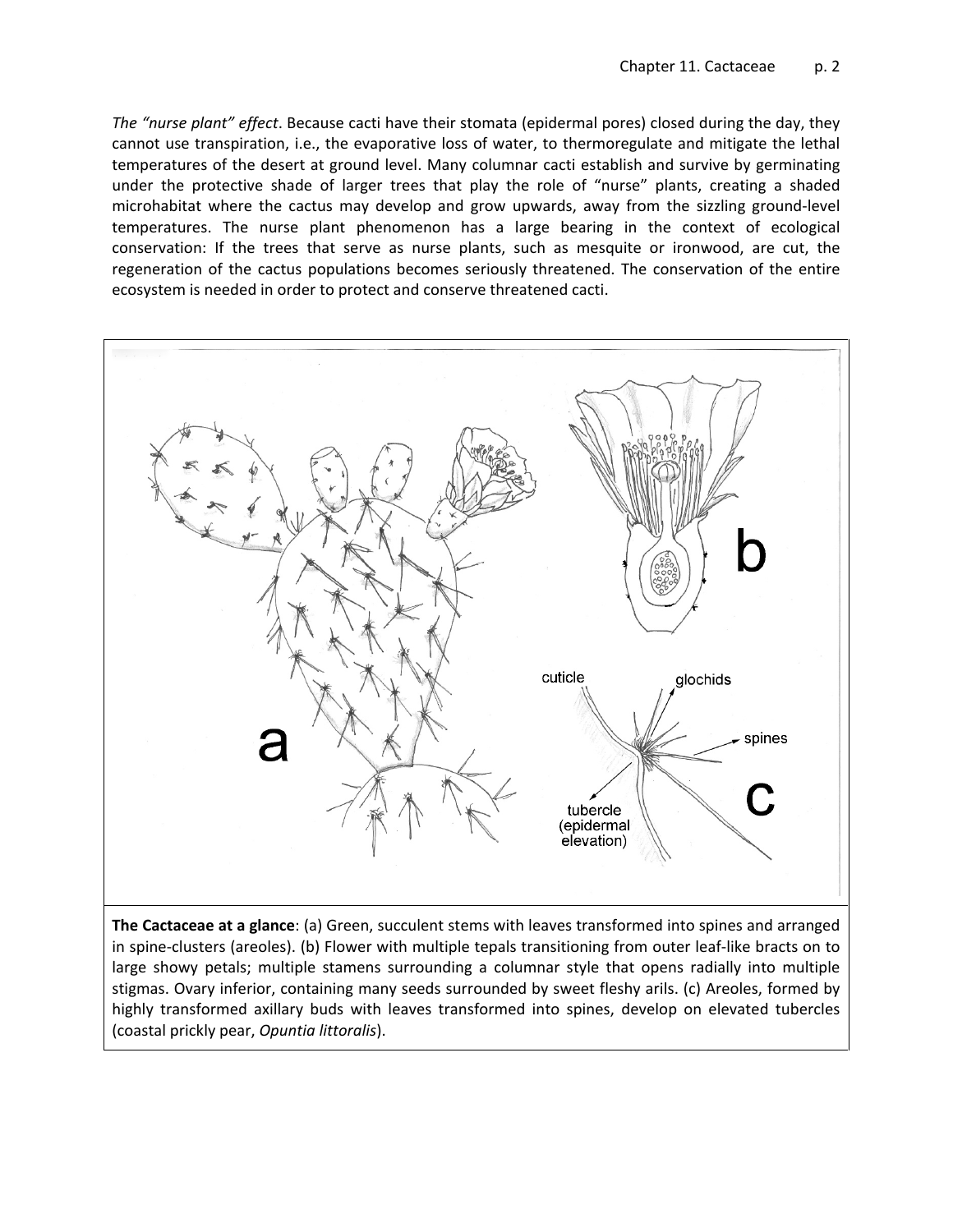*The "nurse plant" effect*. Because cacti have their stomata (epidermal pores) closed during the day, they cannot use transpiration, i.e., the evaporative loss of water, to thermoregulate and mitigate the lethal temperatures of the desert at ground level. Many columnar cacti establish and survive by germinating under the protective shade of larger trees that play the role of "nurse" plants, creating a shaded microhabitat where the cactus may develop and grow upwards, away from the sizzling ground-level temperatures. The nurse plant phenomenon has a large bearing in the context of ecological conservation: If the trees that serve as nurse plants, such as mesquite or ironwood, are cut, the regeneration of the cactus populations becomes seriously threatened. The conservation of the entire ecosystem is needed in order to protect and conserve threatened cacti.



**The Cactaceae at a glance**: (a) Green, succulent stems with leaves transformed into spines and arranged in spine-clusters (areoles). (b) Flower with multiple tepals transitioning from outer leaf-like bracts on to large showy petals; multiple stamens surrounding a columnar style that opens radially into multiple stigmas. Ovary inferior, containing many seeds surrounded by sweet fleshy arils. (c) Areoles, formed by highly transformed axillary buds with leaves transformed into spines, develop on elevated tubercles (coastal prickly pear, *Opuntia littoralis*).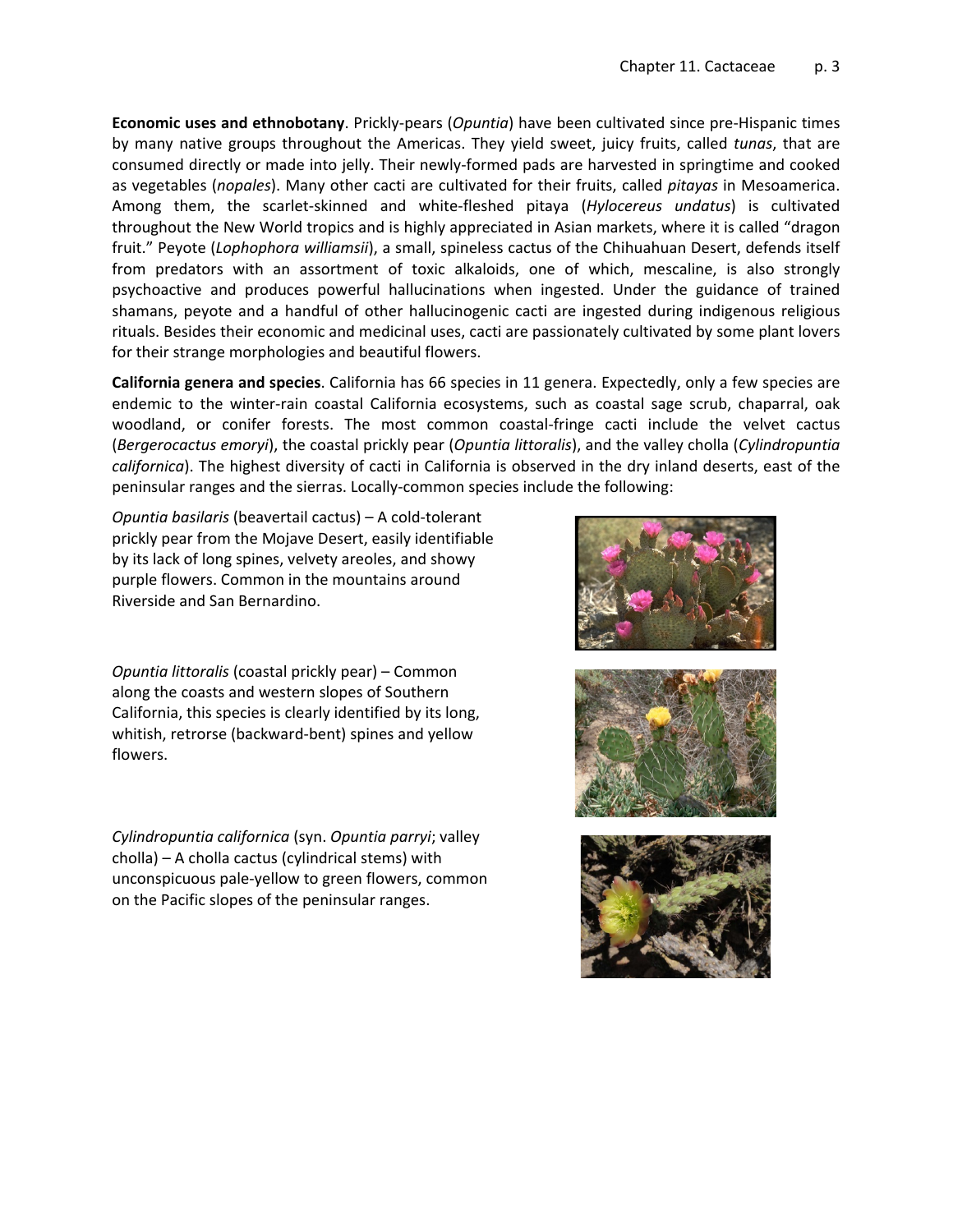**Economic uses and ethnobotany**. Prickly-pears (*Opuntia*) have been cultivated since pre-Hispanic times by many native groups throughout the Americas. They yield sweet, juicy fruits, called *tunas*, that are consumed directly or made into jelly. Their newly-formed pads are harvested in springtime and cooked as vegetables (*nopales*). Many other cacti are cultivated for their fruits, called *pitayas* in Mesoamerica. Among them, the scarlet-skinned and white-fleshed pitaya (*Hylocereus undatus*) is cultivated throughout the New World tropics and is highly appreciated in Asian markets, where it is called "dragon fruit." Peyote (*Lophophora williamsii*), a small, spineless cactus of the Chihuahuan Desert, defends itself from predators with an assortment of toxic alkaloids, one of which, mescaline, is also strongly psychoactive and produces powerful hallucinations when ingested. Under the guidance of trained shamans, peyote and a handful of other hallucinogenic cacti are ingested during indigenous religious rituals. Besides their economic and medicinal uses, cacti are passionately cultivated by some plant lovers for their strange morphologies and beautiful flowers.

**California genera and species**. California has 66 species in 11 genera. Expectedly, only a few species are endemic to the winter-rain coastal California ecosystems, such as coastal sage scrub, chaparral, oak woodland, or conifer forests. The most common coastal-fringe cacti include the velvet cactus (*Bergerocactus emoryi*), the coastal prickly pear (*Opuntia littoralis*), and the valley cholla (*Cylindropuntia californica*). The highest diversity of cacti in California is observed in the dry inland deserts, east of the peninsular ranges and the sierras. Locally-common species include the following:

*Opuntia basilaris* (beavertail cactus) – A cold-tolerant prickly pear from the Mojave Desert, easily identifiable by its lack of long spines, velvety areoles, and showy purple flowers. Common in the mountains around Riverside and San Bernardino.

*Opuntia littoralis* (coastal prickly pear) – Common along the coasts and western slopes of Southern California, this species is clearly identified by its long, whitish, retrorse (backward-bent) spines and yellow flowers.

*Cylindropuntia californica* (syn. *Opuntia parryi*; valley cholla) – A cholla cactus (cylindrical stems) with unconspicuous pale-yellow to green flowers, common on the Pacific slopes of the peninsular ranges.